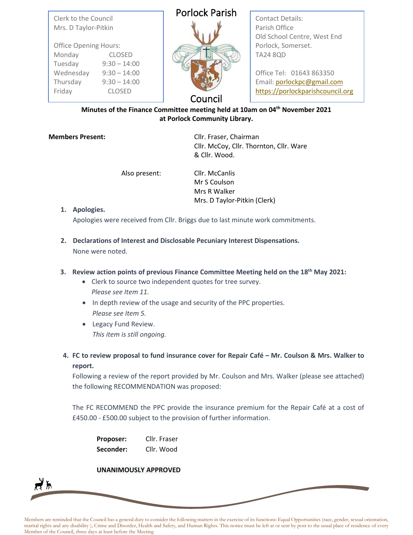| Clerk to the Council |  |
|----------------------|--|
| Mrs. D Taylor-Pitkin |  |

| <b>Office Opening Hours:</b> |                |  |
|------------------------------|----------------|--|
| Monday                       | <b>CLOSED</b>  |  |
| Tuesday                      | $9:30 - 14:00$ |  |
| Wednesday                    | $9:30 - 14:00$ |  |
| Thursday                     | $9:30 - 14:00$ |  |
| Friday                       | <b>CLOSED</b>  |  |

# Porlock Parish



Contact Details: Parish Office Old School Centre, West End Porlock, Somerset. TA24 8QD

Office Tel: 01643 863350 Email: [porlockpc@gmail.com](mailto:porlockpc@gmail.com) [https://porlockparishcouncil.org](https://porlockparishcouncil.org/)

Council

# **Minutes of the Finance Committee meeting held at 10am on 04th November 2021 at Porlock Community Library.**

**Members Present:** Cllr. Fraser, Chairman Cllr. McCoy, Cllr. Thornton, Cllr. Ware & Cllr. Wood.

Also present: Cllr. McCanlis

Mr S Coulson Mrs R Walker Mrs. D Taylor-Pitkin (Clerk)

# **1. Apologies.**

∤እ

Apologies were received from Cllr. Briggs due to last minute work commitments.

**2. Declarations of Interest and Disclosable Pecuniary Interest Dispensations.** None were noted.

# **3. Review action points of previous Finance Committee Meeting held on the 18th May 2021:**

- Clerk to source two independent quotes for tree survey. *Please see Item 11.*
- In depth review of the usage and security of the PPC properties. *Please see Item 5.*
- Legacy Fund Review. *This item is still ongoing.*
- **4. FC to review proposal to fund insurance cover for Repair Café – Mr. Coulson & Mrs. Walker to report.**

Following a review of the report provided by Mr. Coulson and Mrs. Walker (please see attached) the following RECOMMENDATION was proposed:

The FC RECOMMEND the PPC provide the insurance premium for the Repair Café at a cost of £450.00 - £500.00 subject to the provision of further information.

| <b>Proposer:</b> | Cllr. Fraser |
|------------------|--------------|
| Seconder:        | Cllr. Wood   |

# **UNANIMOUSLY APPROVED**

Members are reminded that the Council has a general duty to consider the following matters in the exercise of its functions: Equal Opportunities (race, gender, sexual orientation, marital rights and any disability ), Crime and Disorder, Health and Safety, and Human Rights. This notice must be left at or sent by post to the usual place of residence of every Member of the Council, three days at least before the Meeting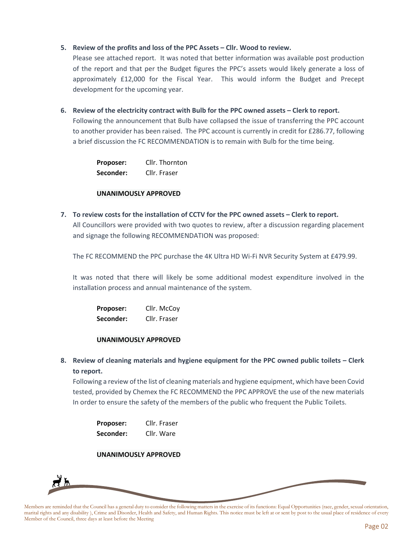### **5. Review of the profits and loss of the PPC Assets – Cllr. Wood to review.**

Please see attached report. It was noted that better information was available post production of the report and that per the Budget figures the PPC's assets would likely generate a loss of approximately £12,000 for the Fiscal Year. This would inform the Budget and Precept development for the upcoming year.

#### **6. Review of the electricity contract with Bulb for the PPC owned assets – Clerk to report.**

Following the announcement that Bulb have collapsed the issue of transferring the PPC account to another provider has been raised. The PPC account is currently in credit for £286.77, following a brief discussion the FC RECOMMENDATION is to remain with Bulb for the time being.

| Proposer: | Cllr. Thornton |
|-----------|----------------|
| Seconder: | Cllr. Fraser   |

#### **UNANIMOUSLY APPROVED**

**7. To review costs for the installation of CCTV for the PPC owned assets – Clerk to report.** All Councillors were provided with two quotes to review, after a discussion regarding placement and signage the following RECOMMENDATION was proposed:

The FC RECOMMEND the PPC purchase the 4K Ultra HD Wi-Fi NVR Security System at £479.99.

It was noted that there will likely be some additional modest expenditure involved in the installation process and annual maintenance of the system.

| Proposer: | Cllr. McCoy  |
|-----------|--------------|
| Seconder: | Cllr. Fraser |

#### **UNANIMOUSLY APPROVED**

**8. Review of cleaning materials and hygiene equipment for the PPC owned public toilets – Clerk to report.**

Following a review of the list of cleaning materials and hygiene equipment, which have been Covid tested, provided by Chemex the FC RECOMMEND the PPC APPROVE the use of the new materials In order to ensure the safety of the members of the public who frequent the Public Toilets.

| Proposer: | Cllr. Fraser |
|-----------|--------------|
| Seconder: | Cllr. Ware   |

#### **UNANIMOUSLY APPROVED**



Members are reminded that the Council has a general duty to consider the following matters in the exercise of its functions: Equal Opportunities (race, gender, sexual orientation, marital rights and any disability ), Crime and Disorder, Health and Safety, and Human Rights. This notice must be left at or sent by post to the usual place of residence of every Member of the Council, three days at least before the Meeting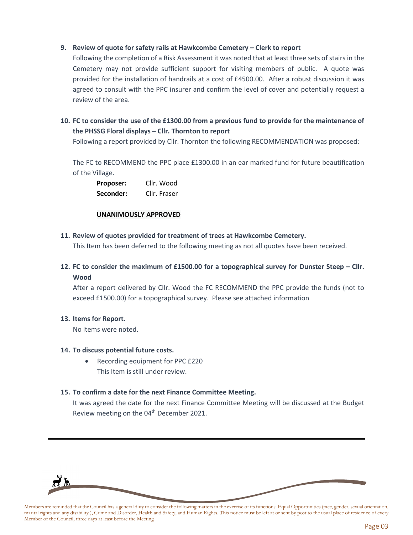# **9. Review of quote for safety rails at Hawkcombe Cemetery – Clerk to report**

Following the completion of a Risk Assessment it was noted that at least three sets of stairs in the Cemetery may not provide sufficient support for visiting members of public. A quote was provided for the installation of handrails at a cost of £4500.00. After a robust discussion it was agreed to consult with the PPC insurer and confirm the level of cover and potentially request a review of the area.

# **10. FC to consider the use of the £1300.00 from a previous fund to provide for the maintenance of the PHSSG Floral displays – Cllr. Thornton to report**

Following a report provided by Cllr. Thornton the following RECOMMENDATION was proposed:

The FC to RECOMMEND the PPC place £1300.00 in an ear marked fund for future beautification of the Village.

**Proposer:** Cllr. Wood **Seconder:** Cllr. Fraser

#### **UNANIMOUSLY APPROVED**

**11. Review of quotes provided for treatment of trees at Hawkcombe Cemetery.**

This Item has been deferred to the following meeting as not all quotes have been received.

**12. FC to consider the maximum of £1500.00 for a topographical survey for Dunster Steep – Cllr. Wood**

After a report delivered by Cllr. Wood the FC RECOMMEND the PPC provide the funds (not to exceed £1500.00) for a topographical survey. Please see attached information

# **13. Items for Report.**

No items were noted.

# **14. To discuss potential future costs.**

• Recording equipment for PPC £220 This Item is still under review.

# **15. To confirm a date for the next Finance Committee Meeting.**

It was agreed the date for the next Finance Committee Meeting will be discussed at the Budget Review meeting on the 04<sup>th</sup> December 2021.



Members are reminded that the Council has a general duty to consider the following matters in the exercise of its functions: Equal Opportunities (race, gender, sexual orientation, marital rights and any disability ), Crime and Disorder, Health and Safety, and Human Rights. This notice must be left at or sent by post to the usual place of residence of every Member of the Council, three days at least before the Meeting